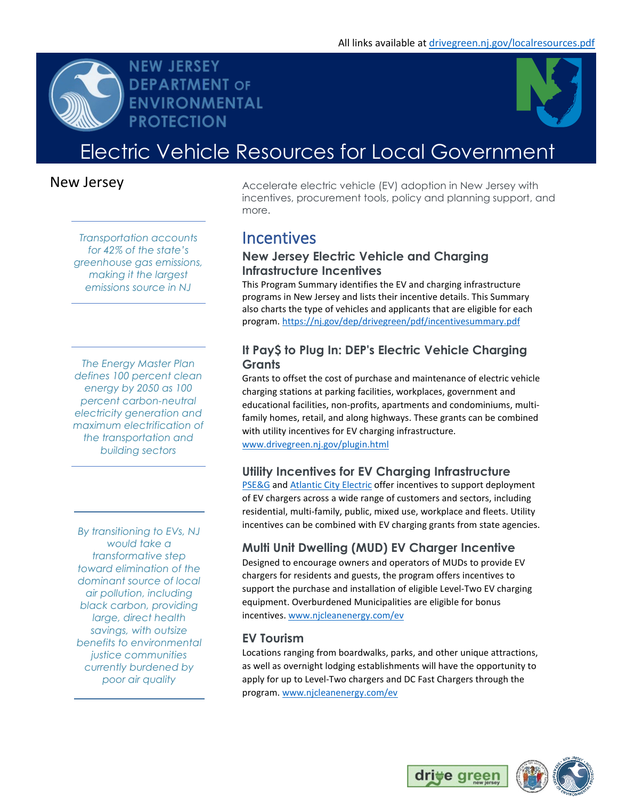



# Electric Vehicle Resources for Local Government

# New Jersey

*Transportation accounts for 42% of the state's greenhouse gas emissions, making it the largest emissions source in NJ*

NEW JERSEY

PROTECTION

**DEPARTMENT OF ENVIRONMENTAL** 

*The Energy Master Plan defines 100 percent clean energy by 2050 as 100 percent carbon-neutral electricity generation and maximum electrification of the transportation and building sectors*

*By transitioning to EVs, NJ would take a transformative step toward elimination of the dominant source of local air pollution, including black carbon, providing large, direct health savings, with outsize benefits to environmental justice communities currently burdened by poor air quality*

Accelerate electric vehicle (EV) adoption in New Jersey with incentives, procurement tools, policy and planning support, and more.

# **Incentives**

# **New Jersey Electric Vehicle and Charging Infrastructure Incentives**

This Program Summary identifies the EV and charging infrastructure programs in New Jersey and lists their incentive details. This Summary also charts the type of vehicles and applicants that are eligible for each program.<https://nj.gov/dep/drivegreen/pdf/incentivesummary.pdf>

# **It Pay\$ to Plug In: DEP's Electric Vehicle Charging Grants**

Grants to offset the cost of purchase and maintenance of electric vehicle charging stations at parking facilities, workplaces, government and educational facilities, non-profits, apartments and condominiums, multifamily homes, retail, and along highways. These grants can be combined with utility incentives for EV charging infrastructure. [www.drivegreen.nj.gov/plugin.html](http://www.drivegreen.nj.gov/plugin.html)

## **Utility Incentives for EV Charging Infrastructure**

[PSE&G](https://nj.myaccount.pseg.com/myservicepublic/electricvehicles) an[d Atlantic City Electric](https://aceevsmart.programprocessing.com/programapplication/?ft=63FD5B9048BD11EC96ED5321AAB5C8A0) offer incentives to support deployment of EV chargers across a wide range of customers and sectors, including residential, multi-family, public, mixed use, workplace and fleets. Utility incentives can be combined with EV charging grants from state agencies.

# **Multi Unit Dwelling (MUD) EV Charger Incentive**

Designed to encourage owners and operators of MUDs to provide EV chargers for residents and guests, the program offers incentives to support the purchase and installation of eligible Level-Two EV charging equipment. Overburdened Municipalities are eligible for bonus incentives. [www.njcleanenergy.com/ev](http://www.njcleanenergy.com/ev)

# **EV Tourism**

Locations ranging from boardwalks, parks, and other unique attractions, as well as overnight lodging establishments will have the opportunity to apply for up to Level-Two chargers and DC Fast Chargers through the program. [www.njcleanenergy.com/ev](http://www.njcleanenergy.com/ev)

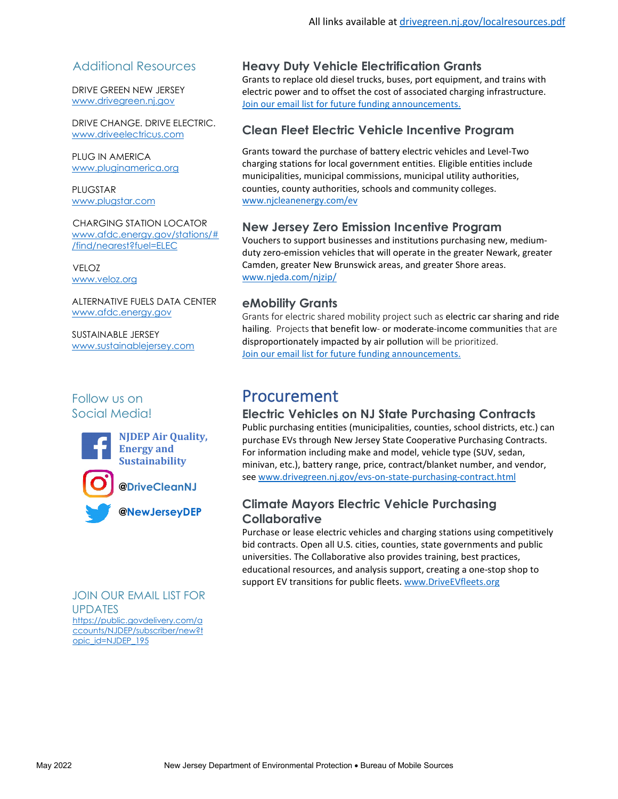## Additional Resources

DRIVE GREEN NEW JERSEY [www.drivegreen.nj.gov](http://www.drivegreen.nj.gov/)

DRIVE CHANGE. DRIVE ELECTRIC. [www.driveelectricus.com](http://www.driveelectricus.com/)

PLUG IN AMERICA [www.pluginamerica.org](http://www.pluginamerica.org/) 

PLUGSTAR [www.plugstar.com](http://www.plugstar.com/)

CHARGING STATION LOCATOR [www.afdc.energy.gov/stations/#](http://www.afdc.energy.gov/stations/#/find/nearest?fuel=ELEC) [/find/nearest?fuel=ELEC](http://www.afdc.energy.gov/stations/#/find/nearest?fuel=ELEC)

VELOZ [www.veloz.org](http://www.veloz.org/)

ALTERNATIVE FUELS DATA CENTER [www.afdc.energy.gov](http://www.afdc.energy.gov/)

SUSTAINABLE JERSEY [www.sustainablejersey.com](http://www.sustainablejersey.com/)

# Follow us on Social Media!



JOIN OUR EMAIL LIST FOR UPDATES [https://public.govdelivery.com/a](https://public.govdelivery.com/accounts/NJDEP/subscriber/new?topic_id=NJDEP_195) [ccounts/NJDEP/subscriber/new?t](https://public.govdelivery.com/accounts/NJDEP/subscriber/new?topic_id=NJDEP_195) [opic\\_id=NJDEP\\_195](https://public.govdelivery.com/accounts/NJDEP/subscriber/new?topic_id=NJDEP_195)

### **Heavy Duty Vehicle Electrification Grants**

Grants to replace old diesel trucks, buses, port equipment, and trains with electric power and to offset the cost of associated charging infrastructure. [Join our email list for future funding announcements.](https://public.govdelivery.com/accounts/NJDEP/subscriber/new?topic_id=NJDEP_195)

## **Clean Fleet Electric Vehicle Incentive Program**

Grants toward the purchase of battery electric vehicles and Level-Two charging stations for local government entities. Eligible entities include municipalities, municipal commissions, municipal utility authorities, counties, county authorities, schools and community colleges. [www.njcleanenergy.com/ev](http://www.njcleanenergy.com/ev)

## **New Jersey Zero Emission Incentive Program**

Vouchers to support businesses and institutions purchasing new, mediumduty zero-emission vehicles that will operate in the greater Newark, greater Camden, greater New Brunswick areas, and greater Shore areas. [www.njeda.com/njzip/](https://www.njeda.com/njzip/)

### **eMobility Grants**

Grants for electric shared mobility project such as electric car sharing and ride hailing. Projects that benefit low- or moderate-income communities that are disproportionately impacted by air pollution will be prioritized. [Join our email list for future funding announcements.](https://public.govdelivery.com/accounts/NJDEP/subscriber/new?topic_id=NJDEP_195)

# Procurement

### **Electric Vehicles on NJ State Purchasing Contracts**

Public purchasing entities (municipalities, counties, school districts, etc.) can purchase EVs through New Jersey State Cooperative Purchasing Contracts. For information including make and model, vehicle type (SUV, sedan, minivan, etc.), battery range, price, contract/blanket number, and vendor, see [www.drivegreen.nj.gov/evs-on-state-purchasing-contract.html](http://www.drivegreen.nj.gov/evs-on-state-purchasing-contract.html)

## **Climate Mayors Electric Vehicle Purchasing Collaborative**

Purchase or lease electric vehicles and charging stations using competitively bid contracts. Open all U.S. cities, counties, state governments and public universities. The Collaborative also provides training, best practices, educational resources, and analysis support, creating a one-stop shop to support EV transitions for public fleets[. www.DriveEVfleets.org](http://www.driveevfleets.org/)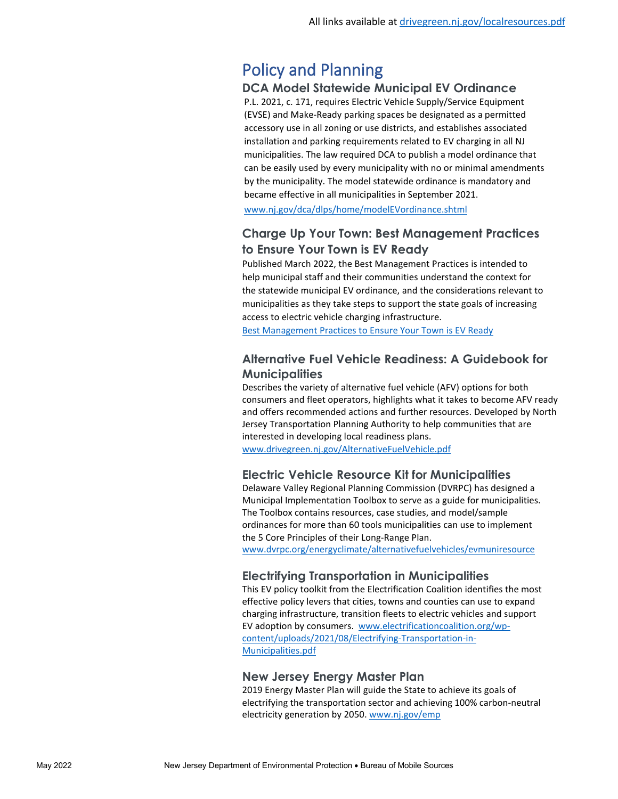# Policy and Planning

#### **DCA Model Statewide Municipal EV Ordinance**

P.L. 2021, c. 171, requires Electric Vehicle Supply/Service Equipment (EVSE) and Make-Ready parking spaces be designated as a permitted accessory use in all zoning or use districts, and establishes associated installation and parking requirements related to EV charging in all NJ municipalities. The law required DCA to publish a model ordinance that can be easily used by every municipality with no or minimal amendments by the municipality. The model statewide ordinance is mandatory and became effective in all municipalities in September 2021.

[www.nj.gov/dca/dlps/home/modelEVordinance.shtml](http://www.nj.gov/dca/dlps/home/modelEVordinance.shtml)

# **Charge Up Your Town: Best Management Practices to Ensure Your Town is EV Ready**

Published March 2022, the Best Management Practices is intended to help municipal staff and their communities understand the context for the statewide municipal EV ordinance, and the considerations relevant to municipalities as they take steps to support the state goals of increasing access to electric vehicle charging infrastructure.

[Best Management Practices to Ensure Your Town is EV Ready](https://www.nj.gov/dep/drivegreen/pdf/chargeupyourtown.pdf)

### **Alternative Fuel Vehicle Readiness: A Guidebook for Municipalities**

Describes the variety of alternative fuel vehicle (AFV) options for both consumers and fleet operators, highlights what it takes to become AFV ready and offers recommended actions and further resources. Developed by North Jersey Transportation Planning Authority to help communities that are interested in developing local readiness plans.

[www.drivegreen.nj.gov/AlternativeFuelVehicle.pdf](http://www.drivegreen.nj.gov/AlternativeFuelVehicle.pdf)

#### **Electric Vehicle Resource Kit for Municipalities**

Delaware Valley Regional Planning Commission (DVRPC) has designed a Municipal Implementation Toolbox to serve as a guide for municipalities. The Toolbox contains resources, case studies, and model/sample ordinances for more than 60 tools municipalities can use to implement the 5 Core Principles of their Long-Range Plan.

[www.dvrpc.org/energyclimate/alternativefuelvehicles/evmuniresource](http://www.dvrpc.org/energyclimate/alternativefuelvehicles/evmuniresource)

### **Electrifying Transportation in Municipalities**

This EV policy toolkit from the Electrification Coalition identifies the most effective policy levers that cities, towns and counties can use to expand charging infrastructure, transition fleets to electric vehicles and support EV adoption by consumers. [www.electrificationcoalition.org/wp](http://www.electrificationcoalition.org/wp-content/uploads/2021/08/Electrifying-Transportation-in-Municipalities.pdf)[content/uploads/2021/08/Electrifying-Transportation-in-](http://www.electrificationcoalition.org/wp-content/uploads/2021/08/Electrifying-Transportation-in-Municipalities.pdf)[Municipalities.pdf](http://www.electrificationcoalition.org/wp-content/uploads/2021/08/Electrifying-Transportation-in-Municipalities.pdf)

### **New Jersey Energy Master Plan**

2019 Energy Master Plan will guide the State to achieve its goals of electrifying the transportation sector and achieving 100% carbon-neutral electricity generation by 2050. [www.nj.gov/emp](https://www.nj.gov/emp/)